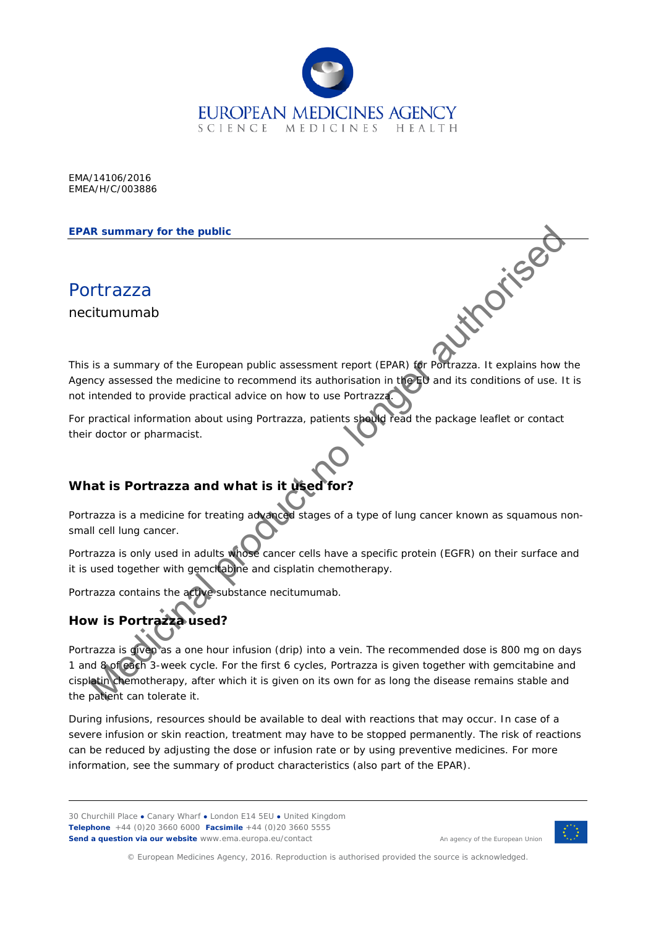

EMA/14106/2016 EMEA/H/C/003886

#### **EPAR summary for the public**

Portrazza necitumumab

This is a summary of the European public assessment report (EPAR) for Portrazza. It explains how the Agency assessed the medicine to recommend its authorisation in the EU and its conditions of use. It is not intended to provide practical advice on how to use Portrazza.

For practical information about using Portrazza, patients should read the package leaflet or contact their doctor or pharmacist.

## **What is Portrazza and what is it used**

Portrazza is a medicine for treating advanced stages of a type of lung cancer known as squamous nonsmall cell lung cancer.

Portrazza is only used in adults whose cancer cells have a specific protein (EGFR) on their surface and it is used together with gemcitabine and cisplatin chemotherapy.

Portrazza contains the active substance necitumumab.

# **How is Portrazza used?**

Portrazza is given as a one hour infusion (drip) into a vein. The recommended dose is 800 mg on days 1 and 8 of each 3-week cycle. For the first 6 cycles, Portrazza is given together with gemcitabine and cisplatin chemotherapy, after which it is given on its own for as long the disease remains stable and the patient can tolerate it. The summary for the public<br>
It commany of the European public assessment report (EPAR) are Portrazza. It explains how<br>
tintended to provide practical advise on how to use Portrazza. The specifical<br>
practical information ab

During infusions, resources should be available to deal with reactions that may occur. In case of a severe infusion or skin reaction, treatment may have to be stopped permanently. The risk of reactions can be reduced by adjusting the dose or infusion rate or by using preventive medicines. For more information, see the summary of product characteristics (also part of the EPAR).

30 Churchill Place **●** Canary Wharf **●** London E14 5EU **●** United Kingdom **Telephone** +44 (0)20 3660 6000 **Facsimile** +44 (0)20 3660 5555 **Send a question via our website** www.ema.europa.eu/contact

An agency of the European Union



© European Medicines Agency, 2016. Reproduction is authorised provided the source is acknowledged.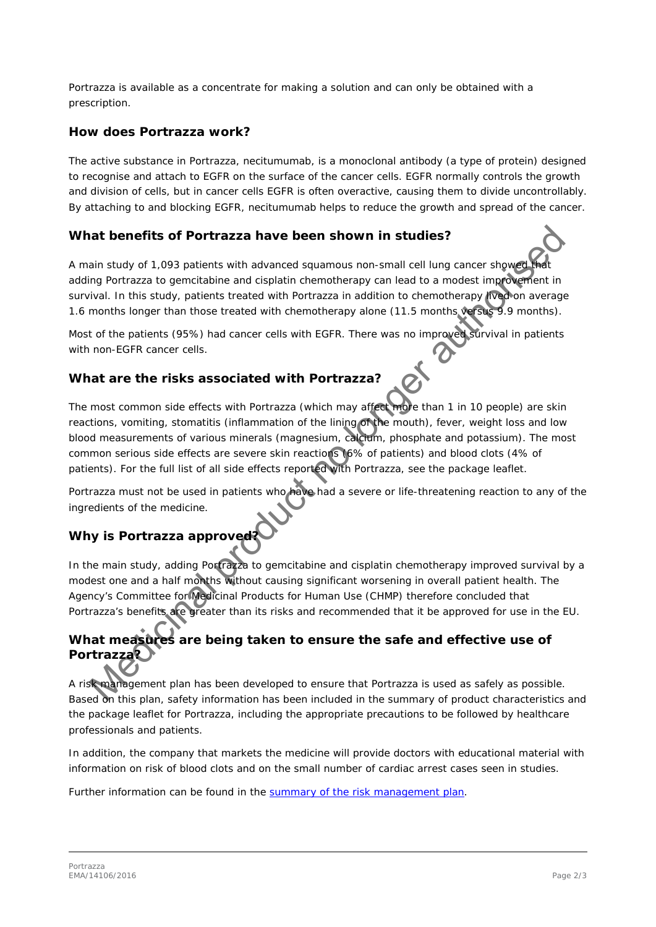Portrazza is available as a concentrate for making a solution and can only be obtained with a prescription.

#### **How does Portrazza work?**

The active substance in Portrazza, necitumumab, is a monoclonal antibody (a type of protein) designed to recognise and attach to EGFR on the surface of the cancer cells. EGFR normally controls the growth and division of cells, but in cancer cells EGFR is often overactive, causing them to divide uncontrollably. By attaching to and blocking EGFR, necitumumab helps to reduce the growth and spread of the cancer.

#### **What benefits of Portrazza have been shown in studies?**

A main study of 1,093 patients with advanced squamous non-small cell lung cancer showed adding Portrazza to gemcitabine and cisplatin chemotherapy can lead to a modest improvement in survival. In this study, patients treated with Portrazza in addition to chemotherapy lived on average 1.6 months longer than those treated with chemotherapy alone (11.5 months versus 9.9 months).

Most of the patients (95%) had cancer cells with EGFR. There was no improved survival in patients with non-EGFR cancer cells.

### **What are the risks associated with Portrazza?**

The most common side effects with Portrazza (which may affect more than 1 in 10 people) are skin reactions, vomiting, stomatitis (inflammation of the lining of the mouth), fever, weight loss and low blood measurements of various minerals (magnesium, calcium, phosphate and potassium). The most common serious side effects are severe skin reactions (6% of patients) and blood clots (4% of patients). For the full list of all side effects reported with Portrazza, see the package leaflet. and benefits of Portrazza have been shown in studies?<br>
Sain study of 1,093 patients with advanced squamous non-small cell lung cancer shows and<br>
the magnetizza to gencilataine and cisplain chemotherapy can lead to a models

Portrazza must not be used in patients who have had a severe or life-threatening reaction to any of the ingredients of the medicine.

## **Why is Portrazza approved?**

In the main study, adding Portrazza to gemcitabine and cisplatin chemotherapy improved survival by a modest one and a half months without causing significant worsening in overall patient health. The Agency's Committee for Medicinal Products for Human Use (CHMP) therefore concluded that Portrazza's benefits are greater than its risks and recommended that it be approved for use in the EU.

## **What measures are being taken to ensure the safe and effective use of Portrazza?**

A risk management plan has been developed to ensure that Portrazza is used as safely as possible. Based on this plan, safety information has been included in the summary of product characteristics and the package leaflet for Portrazza, including the appropriate precautions to be followed by healthcare professionals and patients.

In addition, the company that markets the medicine will provide doctors with educational material with information on risk of blood clots and on the small number of cardiac arrest cases seen in studies.

Further information can be found in the [summary of the risk management plan.](http://www.ema.europa.eu/docs/en_GB/document_library/EPAR_-_Risk-management-plan_summary/human/003886/WC500196688.pdf)